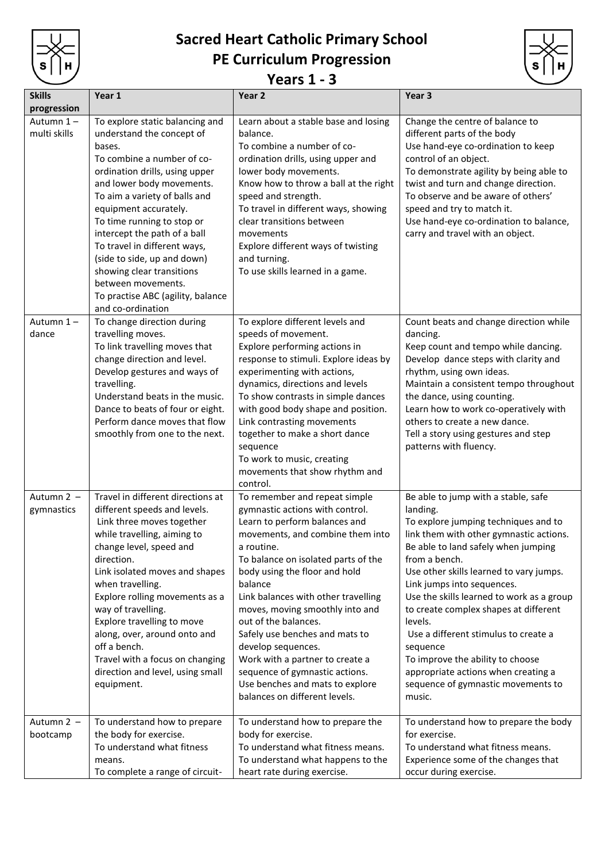

## **Sacred Heart Catholic Primary School PE Curriculum Progression**



## **Years 1 - 3**

| <b>Skills</b><br>progression | Year 1                                                                                                                                                                                                                                                                                                                                                                                                                                                                  | Year 2                                                                                                                                                                                                                                                                                                                                                                                                                                                                                                                                    | Year <sub>3</sub>                                                                                                                                                                                                                                                                                                                                                                                                                                                                                                                                   |
|------------------------------|-------------------------------------------------------------------------------------------------------------------------------------------------------------------------------------------------------------------------------------------------------------------------------------------------------------------------------------------------------------------------------------------------------------------------------------------------------------------------|-------------------------------------------------------------------------------------------------------------------------------------------------------------------------------------------------------------------------------------------------------------------------------------------------------------------------------------------------------------------------------------------------------------------------------------------------------------------------------------------------------------------------------------------|-----------------------------------------------------------------------------------------------------------------------------------------------------------------------------------------------------------------------------------------------------------------------------------------------------------------------------------------------------------------------------------------------------------------------------------------------------------------------------------------------------------------------------------------------------|
| Autumn 1-<br>multi skills    | To explore static balancing and<br>understand the concept of<br>bases.<br>To combine a number of co-<br>ordination drills, using upper<br>and lower body movements.<br>To aim a variety of balls and<br>equipment accurately.<br>To time running to stop or<br>intercept the path of a ball<br>To travel in different ways,<br>(side to side, up and down)<br>showing clear transitions<br>between movements.<br>To practise ABC (agility, balance<br>and co-ordination | Learn about a stable base and losing<br>balance.<br>To combine a number of co-<br>ordination drills, using upper and<br>lower body movements.<br>Know how to throw a ball at the right<br>speed and strength.<br>To travel in different ways, showing<br>clear transitions between<br>movements<br>Explore different ways of twisting<br>and turning.<br>To use skills learned in a game.                                                                                                                                                 | Change the centre of balance to<br>different parts of the body<br>Use hand-eye co-ordination to keep<br>control of an object.<br>To demonstrate agility by being able to<br>twist and turn and change direction.<br>To observe and be aware of others'<br>speed and try to match it.<br>Use hand-eye co-ordination to balance,<br>carry and travel with an object.                                                                                                                                                                                  |
| Autumn 1-<br>dance           | To change direction during<br>travelling moves.<br>To link travelling moves that<br>change direction and level.<br>Develop gestures and ways of<br>travelling.<br>Understand beats in the music.<br>Dance to beats of four or eight.<br>Perform dance moves that flow<br>smoothly from one to the next.                                                                                                                                                                 | To explore different levels and<br>speeds of movement.<br>Explore performing actions in<br>response to stimuli. Explore ideas by<br>experimenting with actions,<br>dynamics, directions and levels<br>To show contrasts in simple dances<br>with good body shape and position.<br>Link contrasting movements<br>together to make a short dance<br>sequence<br>To work to music, creating<br>movements that show rhythm and<br>control.                                                                                                    | Count beats and change direction while<br>dancing.<br>Keep count and tempo while dancing.<br>Develop dance steps with clarity and<br>rhythm, using own ideas.<br>Maintain a consistent tempo throughout<br>the dance, using counting.<br>Learn how to work co-operatively with<br>others to create a new dance.<br>Tell a story using gestures and step<br>patterns with fluency.                                                                                                                                                                   |
| Autumn 2 -<br>gymnastics     | Travel in different directions at<br>different speeds and levels.<br>Link three moves together<br>while travelling, aiming to<br>change level, speed and<br>direction.<br>Link isolated moves and shapes<br>when travelling.<br>Explore rolling movements as a<br>way of travelling.<br>Explore travelling to move<br>along, over, around onto and<br>off a bench.<br>Travel with a focus on changing<br>direction and level, using small<br>equipment.                 | To remember and repeat simple<br>gymnastic actions with control.<br>Learn to perform balances and<br>movements, and combine them into<br>a routine.<br>To balance on isolated parts of the<br>body using the floor and hold<br>balance<br>Link balances with other travelling<br>moves, moving smoothly into and<br>out of the balances.<br>Safely use benches and mats to<br>develop sequences.<br>Work with a partner to create a<br>sequence of gymnastic actions.<br>Use benches and mats to explore<br>balances on different levels. | Be able to jump with a stable, safe<br>landing.<br>To explore jumping techniques and to<br>link them with other gymnastic actions.<br>Be able to land safely when jumping<br>from a bench.<br>Use other skills learned to vary jumps.<br>Link jumps into sequences.<br>Use the skills learned to work as a group<br>to create complex shapes at different<br>levels.<br>Use a different stimulus to create a<br>sequence<br>To improve the ability to choose<br>appropriate actions when creating a<br>sequence of gymnastic movements to<br>music. |
| Autumn 2 -<br>bootcamp       | To understand how to prepare<br>the body for exercise.<br>To understand what fitness<br>means.<br>To complete a range of circuit-                                                                                                                                                                                                                                                                                                                                       | To understand how to prepare the<br>body for exercise.<br>To understand what fitness means.<br>To understand what happens to the<br>heart rate during exercise.                                                                                                                                                                                                                                                                                                                                                                           | To understand how to prepare the body<br>for exercise.<br>To understand what fitness means.<br>Experience some of the changes that<br>occur during exercise.                                                                                                                                                                                                                                                                                                                                                                                        |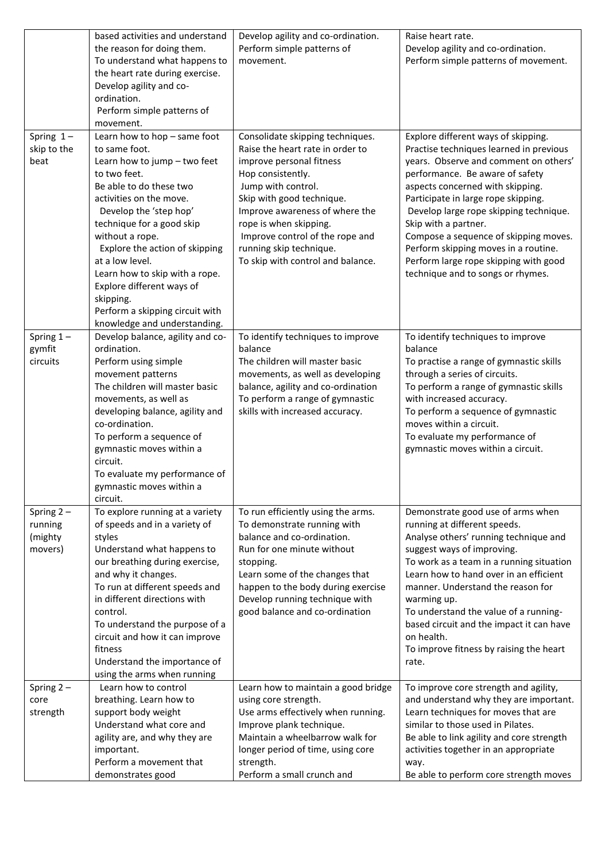|                      | based activities and understand                                | Develop agility and co-ordination.                                     | Raise heart rate.                                                                |
|----------------------|----------------------------------------------------------------|------------------------------------------------------------------------|----------------------------------------------------------------------------------|
|                      | the reason for doing them.<br>To understand what happens to    | Perform simple patterns of<br>movement.                                | Develop agility and co-ordination.<br>Perform simple patterns of movement.       |
|                      | the heart rate during exercise.                                |                                                                        |                                                                                  |
|                      | Develop agility and co-                                        |                                                                        |                                                                                  |
|                      | ordination.                                                    |                                                                        |                                                                                  |
|                      | Perform simple patterns of                                     |                                                                        |                                                                                  |
|                      | movement.                                                      |                                                                        |                                                                                  |
| Spring $1-$          | Learn how to hop - same foot                                   | Consolidate skipping techniques.                                       | Explore different ways of skipping.                                              |
| skip to the<br>beat  | to same foot.<br>Learn how to jump - two feet                  | Raise the heart rate in order to<br>improve personal fitness           | Practise techniques learned in previous<br>years. Observe and comment on others' |
|                      | to two feet.                                                   | Hop consistently.                                                      | performance. Be aware of safety                                                  |
|                      | Be able to do these two                                        | Jump with control.                                                     | aspects concerned with skipping.                                                 |
|                      | activities on the move.                                        | Skip with good technique.                                              | Participate in large rope skipping.                                              |
|                      | Develop the 'step hop'                                         | Improve awareness of where the                                         | Develop large rope skipping technique.                                           |
|                      | technique for a good skip                                      | rope is when skipping.                                                 | Skip with a partner.                                                             |
|                      | without a rope.                                                | Improve control of the rope and                                        | Compose a sequence of skipping moves.                                            |
|                      | Explore the action of skipping                                 | running skip technique.                                                | Perform skipping moves in a routine.                                             |
|                      | at a low level.                                                | To skip with control and balance.                                      | Perform large rope skipping with good                                            |
|                      | Learn how to skip with a rope.<br>Explore different ways of    |                                                                        | technique and to songs or rhymes.                                                |
|                      | skipping.                                                      |                                                                        |                                                                                  |
|                      | Perform a skipping circuit with                                |                                                                        |                                                                                  |
|                      | knowledge and understanding.                                   |                                                                        |                                                                                  |
| Spring $1 -$         | Develop balance, agility and co-                               | To identify techniques to improve                                      | To identify techniques to improve                                                |
| gymfit               | ordination.                                                    | balance                                                                | balance                                                                          |
| circuits             | Perform using simple                                           | The children will master basic                                         | To practise a range of gymnastic skills                                          |
|                      | movement patterns<br>The children will master basic            | movements, as well as developing<br>balance, agility and co-ordination | through a series of circuits.<br>To perform a range of gymnastic skills          |
|                      | movements, as well as                                          | To perform a range of gymnastic                                        | with increased accuracy.                                                         |
|                      | developing balance, agility and                                | skills with increased accuracy.                                        | To perform a sequence of gymnastic                                               |
|                      | co-ordination.                                                 |                                                                        | moves within a circuit.                                                          |
|                      | To perform a sequence of                                       |                                                                        | To evaluate my performance of                                                    |
|                      | gymnastic moves within a                                       |                                                                        | gymnastic moves within a circuit.                                                |
|                      | circuit.                                                       |                                                                        |                                                                                  |
|                      | To evaluate my performance of<br>gymnastic moves within a      |                                                                        |                                                                                  |
|                      | circuit.                                                       |                                                                        |                                                                                  |
| Spring $2 -$         | To explore running at a variety                                | To run efficiently using the arms.                                     | Demonstrate good use of arms when                                                |
| running              | of speeds and in a variety of                                  | To demonstrate running with                                            | running at different speeds.                                                     |
| (mighty              | styles                                                         | balance and co-ordination.                                             | Analyse others' running technique and                                            |
| movers)              | Understand what happens to                                     | Run for one minute without                                             | suggest ways of improving.                                                       |
|                      | our breathing during exercise,                                 | stopping.                                                              | To work as a team in a running situation                                         |
|                      | and why it changes.                                            | Learn some of the changes that<br>happen to the body during exercise   | Learn how to hand over in an efficient<br>manner. Understand the reason for      |
|                      | To run at different speeds and<br>in different directions with | Develop running technique with                                         | warming up.                                                                      |
|                      | control.                                                       | good balance and co-ordination                                         | To understand the value of a running-                                            |
|                      | To understand the purpose of a                                 |                                                                        | based circuit and the impact it can have                                         |
|                      | circuit and how it can improve                                 |                                                                        | on health.                                                                       |
|                      | fitness                                                        |                                                                        | To improve fitness by raising the heart                                          |
|                      | Understand the importance of                                   |                                                                        | rate.                                                                            |
|                      | using the arms when running                                    |                                                                        |                                                                                  |
| Spring $2 -$<br>core | Learn how to control<br>breathing. Learn how to                | Learn how to maintain a good bridge<br>using core strength.            | To improve core strength and agility,<br>and understand why they are important.  |
| strength             | support body weight                                            | Use arms effectively when running.                                     | Learn techniques for moves that are                                              |
|                      | Understand what core and                                       | Improve plank technique.                                               | similar to those used in Pilates.                                                |
|                      | agility are, and why they are                                  | Maintain a wheelbarrow walk for                                        | Be able to link agility and core strength                                        |
|                      | important.                                                     | longer period of time, using core                                      | activities together in an appropriate                                            |
|                      | Perform a movement that                                        | strength.                                                              | way.                                                                             |
|                      | demonstrates good                                              | Perform a small crunch and                                             | Be able to perform core strength moves                                           |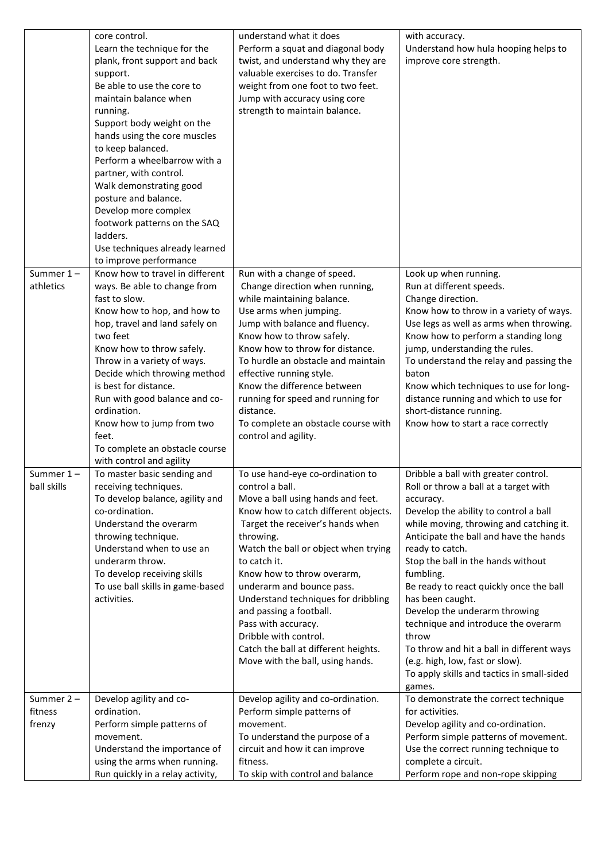|             | core control.                                           | understand what it does                             | with accuracy.                                                                |
|-------------|---------------------------------------------------------|-----------------------------------------------------|-------------------------------------------------------------------------------|
|             | Learn the technique for the                             | Perform a squat and diagonal body                   | Understand how hula hooping helps to                                          |
|             | plank, front support and back                           | twist, and understand why they are                  | improve core strength.                                                        |
|             | support.                                                | valuable exercises to do. Transfer                  |                                                                               |
|             | Be able to use the core to                              | weight from one foot to two feet.                   |                                                                               |
|             | maintain balance when                                   | Jump with accuracy using core                       |                                                                               |
|             | running.                                                | strength to maintain balance.                       |                                                                               |
|             | Support body weight on the                              |                                                     |                                                                               |
|             | hands using the core muscles                            |                                                     |                                                                               |
|             | to keep balanced.                                       |                                                     |                                                                               |
|             | Perform a wheelbarrow with a                            |                                                     |                                                                               |
|             | partner, with control.                                  |                                                     |                                                                               |
|             | Walk demonstrating good                                 |                                                     |                                                                               |
|             | posture and balance.                                    |                                                     |                                                                               |
|             | Develop more complex                                    |                                                     |                                                                               |
|             | footwork patterns on the SAQ                            |                                                     |                                                                               |
|             | ladders.                                                |                                                     |                                                                               |
|             | Use techniques already learned                          |                                                     |                                                                               |
|             | to improve performance                                  |                                                     |                                                                               |
| Summer 1-   | Know how to travel in different                         | Run with a change of speed.                         | Look up when running.                                                         |
| athletics   | ways. Be able to change from                            | Change direction when running,                      | Run at different speeds.                                                      |
|             | fast to slow.                                           | while maintaining balance.                          | Change direction.                                                             |
|             | Know how to hop, and how to                             | Use arms when jumping.                              | Know how to throw in a variety of ways.                                       |
|             | hop, travel and land safely on                          | Jump with balance and fluency.                      | Use legs as well as arms when throwing.                                       |
|             | two feet                                                | Know how to throw safely.                           | Know how to perform a standing long                                           |
|             | Know how to throw safely.                               | Know how to throw for distance.                     | jump, understanding the rules.                                                |
|             | Throw in a variety of ways.                             | To hurdle an obstacle and maintain                  | To understand the relay and passing the                                       |
|             | Decide which throwing method                            | effective running style.                            | baton                                                                         |
|             | is best for distance.                                   | Know the difference between                         | Know which techniques to use for long-                                        |
|             | Run with good balance and co-                           | running for speed and running for                   | distance running and which to use for                                         |
|             | ordination.                                             | distance.                                           | short-distance running.                                                       |
|             | Know how to jump from two                               | To complete an obstacle course with                 | Know how to start a race correctly                                            |
|             | feet.                                                   | control and agility.                                |                                                                               |
|             | To complete an obstacle course                          |                                                     |                                                                               |
| Summer 1-   | with control and agility<br>To master basic sending and |                                                     |                                                                               |
| ball skills | receiving techniques.                                   | To use hand-eye co-ordination to<br>control a ball. | Dribble a ball with greater control.<br>Roll or throw a ball at a target with |
|             | To develop balance, agility and                         | Move a ball using hands and feet.                   | accuracy.                                                                     |
|             | co-ordination.                                          | Know how to catch different objects.                | Develop the ability to control a ball                                         |
|             | Understand the overarm                                  | Target the receiver's hands when                    | while moving, throwing and catching it.                                       |
|             | throwing technique.                                     | throwing.                                           | Anticipate the ball and have the hands                                        |
|             | Understand when to use an                               | Watch the ball or object when trying                | ready to catch.                                                               |
|             | underarm throw.                                         | to catch it.                                        | Stop the ball in the hands without                                            |
|             | To develop receiving skills                             | Know how to throw overarm,                          | fumbling.                                                                     |
|             | To use ball skills in game-based                        | underarm and bounce pass.                           | Be ready to react quickly once the ball                                       |
|             | activities.                                             | Understand techniques for dribbling                 | has been caught.                                                              |
|             |                                                         | and passing a football.                             | Develop the underarm throwing                                                 |
|             |                                                         | Pass with accuracy.                                 | technique and introduce the overarm                                           |
|             |                                                         | Dribble with control.                               | throw                                                                         |
|             |                                                         | Catch the ball at different heights.                | To throw and hit a ball in different ways                                     |
|             |                                                         | Move with the ball, using hands.                    | (e.g. high, low, fast or slow).                                               |
|             |                                                         |                                                     | To apply skills and tactics in small-sided                                    |
|             |                                                         |                                                     | games.                                                                        |
| Summer 2-   | Develop agility and co-                                 | Develop agility and co-ordination.                  | To demonstrate the correct technique                                          |
| fitness     | ordination.                                             | Perform simple patterns of                          | for activities.                                                               |
| frenzy      | Perform simple patterns of                              | movement.                                           | Develop agility and co-ordination.                                            |
|             | movement.                                               | To understand the purpose of a                      | Perform simple patterns of movement.                                          |
|             | Understand the importance of                            | circuit and how it can improve                      | Use the correct running technique to                                          |
|             | using the arms when running.                            | fitness.                                            | complete a circuit.                                                           |
|             | Run quickly in a relay activity,                        | To skip with control and balance                    | Perform rope and non-rope skipping                                            |